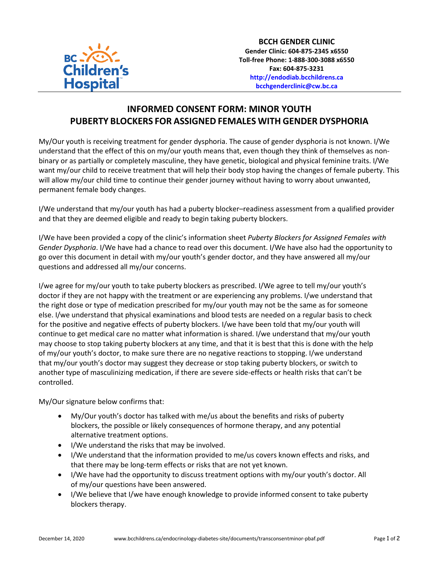

## **INFORMED CONSENT FORM: MINOR YOUTH PUBERTY BLOCKERS FOR ASSIGNED FEMALES WITH GENDER DYSPHORIA**

My/Our youth is receiving treatment for gender dysphoria. The cause of gender dysphoria is not known. I/We understand that the effect of this on my/our youth means that, even though they think of themselves as nonbinary or as partially or completely masculine, they have genetic, biological and physical feminine traits. I/We want my/our child to receive treatment that will help their body stop having the changes of female puberty. This will allow my/our child time to continue their gender journey without having to worry about unwanted, permanent female body changes.

I/We understand that my/our youth has had a puberty blocker–readiness assessment from a qualified provider and that they are deemed eligible and ready to begin taking puberty blockers.

I/We have been provided a copy of the clinic's information sheet *Puberty Blockers for Assigned Females with Gender Dysphoria*. I/We have had a chance to read over this document. I/We have also had the opportunity to go over this document in detail with my/our youth's gender doctor, and they have answered all my/our questions and addressed all my/our concerns.

I/we agree for my/our youth to take puberty blockers as prescribed. I/We agree to tell my/our youth's doctor if they are not happy with the treatment or are experiencing any problems. I/we understand that the right dose or type of medication prescribed for my/our youth may not be the same as for someone else. I/we understand that physical examinations and blood tests are needed on a regular basis to check for the positive and negative effects of puberty blockers. I/we have been told that my/our youth will continue to get medical care no matter what information is shared. I/we understand that my/our youth may choose to stop taking puberty blockers at any time, and that it is best that this is done with the help of my/our youth's doctor, to make sure there are no negative reactions to stopping. I/we understand that my/our youth's doctor may suggest they decrease or stop taking puberty blockers, or switch to another type of masculinizing medication, if there are severe side-effects or health risks that can't be controlled.

My/Our signature below confirms that:

- My/Our youth's doctor has talked with me/us about the benefits and risks of puberty blockers, the possible or likely consequences of hormone therapy, and any potential alternative treatment options.
- I/We understand the risks that may be involved.
- I/We understand that the information provided to me/us covers known effects and risks, and that there may be long-term effects or risks that are not yet known.
- I/We have had the opportunity to discuss treatment options with my/our youth's doctor. All of my/our questions have been answered.
- I/We believe that I/we have enough knowledge to provide informed consent to take puberty blockers therapy.